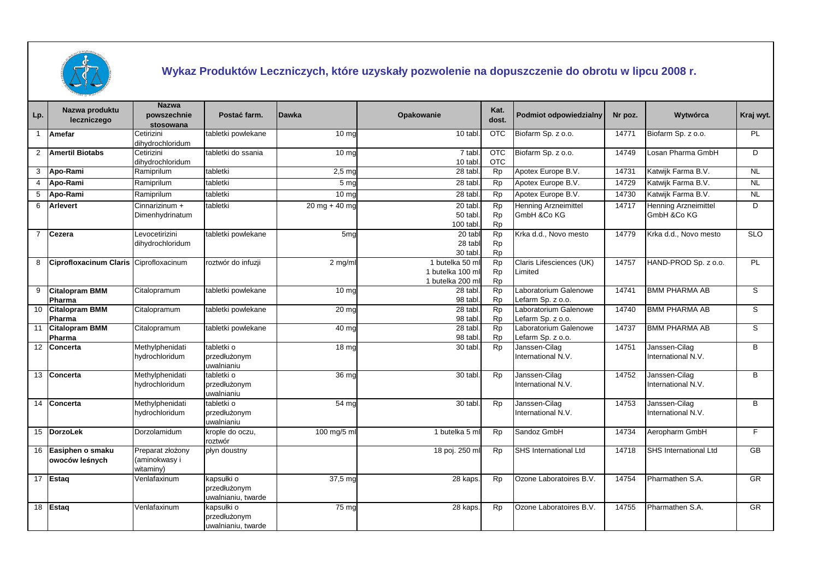

## **Wykaz Produktów Leczniczych, które uzyskały pozwolenie na dopuszczenie do obrotu w lipcu 2008 r.**

| Lp.            | Nazwa produktu<br>leczniczego          | <b>Nazwa</b><br>powszechnie<br>stosowana       | Postać farm.                                     | <b>Dawka</b>     | Opakowanie                                              | Kat.<br>dost.                       | <b>Podmiot odpowiedzialny</b>              | Nr poz. | Wytwórca                            | Kraj wyt.              |
|----------------|----------------------------------------|------------------------------------------------|--------------------------------------------------|------------------|---------------------------------------------------------|-------------------------------------|--------------------------------------------|---------|-------------------------------------|------------------------|
|                | <b>Amefar</b>                          | Cetirizini<br>dihydrochloridum                 | tabletki powlekane                               | 10 <sub>mg</sub> | 10 tabl                                                 | <b>OTC</b>                          | Biofarm Sp. z o.o.                         | 14771   | Biofarm Sp. z o.o.                  | PL                     |
| $\overline{2}$ | <b>Amertil Biotabs</b>                 | Cetirizini<br>dihydrochloridum                 | tabletki do ssania                               | 10 <sub>mg</sub> | 7 tabl<br>10 tabl.                                      | <b>OTC</b><br><b>OTC</b>            | Biofarm Sp. z o.o.                         | 14749   | Losan Pharma GmbH                   | D                      |
| 3              | Apo-Rami                               | Ramiprilum                                     | tabletki                                         | $2,5 \text{ mg}$ | 28 tabl                                                 | Rp                                  | Apotex Europe B.V.                         | 14731   | Katwijk Farma B.V.                  | <b>NL</b>              |
| 4              | Apo-Rami                               | Ramiprilum                                     | tabletki                                         | 5 mc             | 28 tabl                                                 | <b>Rp</b>                           | Apotex Europe B.V.                         | 14729   | Katwijk Farma B.V.                  | <b>NL</b>              |
| 5              | Apo-Rami                               | Ramiprilum                                     | tabletki                                         | 10 <sub>me</sub> | 28 tabl                                                 | <b>Rp</b>                           | Apotex Europe B.V.                         | 14730   | Katwijk Farma B.V.                  | <b>NL</b>              |
| 6              | <b>Arlevert</b>                        | Cinnarizinum +<br>Dimenhydrinatum              | tabletki                                         | $20$ mg + 40 mg  | 20 tabl<br>50 tabl.<br>100 tabl.                        | <b>Rp</b><br><b>Rp</b><br>Rp        | <b>Henning Arzneimittel</b><br>GmbH &Co KG | 14717   | Henning Arzneimittel<br>GmbH &Co KG | D                      |
| $\overline{7}$ | Cezera                                 | Levocetirizini<br>dihydrochloridum             | tabletki powlekane                               | 5 <sub>mg</sub>  | 20 tabl<br>28 tabl<br>30 tabl.                          | Rp<br><b>Rp</b><br><b>Rp</b>        | Krka d.d., Novo mesto                      | 14779   | Krka d.d., Novo mesto               | SLO                    |
| 8              | Ciprofloxacinum Claris Ciprofloxacinum |                                                | roztwór do infuzji                               | $2$ mg/m         | 1 butelka 50 ml<br>1 butelka 100 ml<br>1 butelka 200 ml | <b>Rp</b><br><b>Rp</b><br><b>Rp</b> | Claris Lifesciences (UK)<br>Limited        | 14757   | HAND-PROD Sp. z o.o.                | PL                     |
| 9              | <b>Citalopram BMM</b><br>Pharma        | Citalopramum                                   | tabletki powlekane                               | 10 <sub>mg</sub> | 28 tabl.<br>98 tabl.                                    | Rp<br><b>Rp</b>                     | Laboratorium Galenowe<br>Lefarm Sp. z o.o. | 14741   | <b>BMM PHARMA AB</b>                | S                      |
| 10             | <b>Citalopram BMM</b><br>Pharma        | Citalopramum                                   | tabletki powlekane                               | 20 <sub>mc</sub> | 28 tabl<br>98 tabl.                                     | Rp<br><b>Rp</b>                     | Laboratorium Galenowe<br>Lefarm Sp. z o.o. | 14740   | <b>BMM PHARMA AB</b>                | s                      |
| 11             | <b>Citalopram BMM</b><br>Pharma        | Citalopramum                                   | tabletki powlekane                               | 40 mg            | 28 tabl.<br>98 tabl                                     | <b>Rp</b><br>Rp                     | Laboratorium Galenowe<br>Lefarm Sp. z o.o. | 14737   | <b>BMM PHARMA AB</b>                | S                      |
|                | 12 Concerta                            | Methylphenidati<br>hydrochloridum              | tabletki o<br>przedłużonym<br>uwalnianiu         | 18 <sub>mg</sub> | 30 tabl.                                                | Rp                                  | Janssen-Cilag<br>International N.V.        | 14751   | Janssen-Cilag<br>International N.V. | B                      |
|                | 13 Concerta                            | Methylphenidati<br>hydrochloridum              | tabletki o<br>przedłużonym<br>uwalnianiu         | 36 mg            | 30 tabl.                                                | <b>Rp</b>                           | Janssen-Cilag<br>International N.V.        | 14752   | Janssen-Cilag<br>International N.V. | B                      |
|                | 14 Concerta                            | Methylphenidati<br>hydrochloridum              | tabletki o<br>przedłużonym<br>uwalnianiu         | 54 <sub>mg</sub> | 30 tabl                                                 | Rp                                  | Janssen-Cilag<br>International N.V.        | 14753   | Janssen-Cilag<br>International N.V. | B                      |
|                | 15 DorzoLek                            | Dorzolamidum                                   | krople do oczu,<br>roztwór                       | 100 mg/5 m       | 1 butelka 5 ml                                          | Rp                                  | Sandoz GmbH                                | 14734   | Aeropharm GmbH                      | F.                     |
| 16             | Easiphen o smaku<br>owoców leśnych     | Preparat złożony<br>(aminokwasy i<br>witaminy) | płyn doustny                                     |                  | 18 poj. 250 ml                                          | Rp                                  | <b>SHS International Ltd</b>               | 14718   | SHS International Ltd               | <b>GB</b>              |
|                | 17 Estaq                               | Venlafaxinum                                   | kapsułki o<br>przedłużonym<br>uwalnianiu, twarde | 37,5 mg          | 28 kaps                                                 | Rp                                  | Ozone Laboratoires B.V.                    | 14754   | Pharmathen S.A.                     | $\overline{\text{GR}}$ |
|                | 18 Estag                               | Venlafaxinum                                   | kapsułki o<br>przedłużonym<br>uwalnianiu, twarde | 75 mg            | 28 kaps.                                                | Rp                                  | Ozone Laboratoires B.V.                    | 14755   | Pharmathen S.A.                     | GR                     |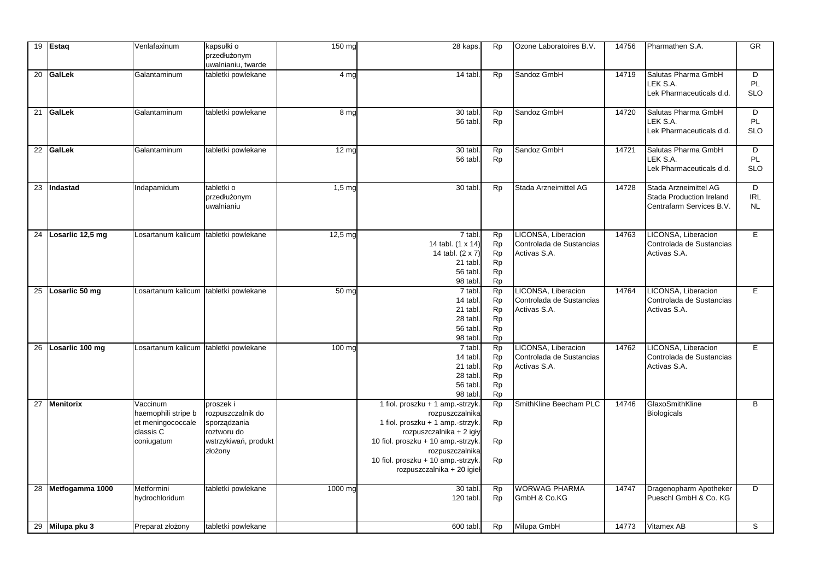|    | 19 Estaq            | Venlafaxinum                                                                    | kapsułki o<br>przedłużonym<br>uwalnianiu, twarde                                                 | $\overline{150}$ mg | 28 kaps.                                                                                                                                                                                                                                         | <b>Rp</b>                                             | Ozone Laboratoires B.V.                                         | 14756 | Pharmathen S.A.                                                               | <b>GR</b>                    |
|----|---------------------|---------------------------------------------------------------------------------|--------------------------------------------------------------------------------------------------|---------------------|--------------------------------------------------------------------------------------------------------------------------------------------------------------------------------------------------------------------------------------------------|-------------------------------------------------------|-----------------------------------------------------------------|-------|-------------------------------------------------------------------------------|------------------------------|
|    | 20 GalLek           | Galantaminum                                                                    | tabletki powlekane                                                                               | 4 mg                | 14 tabl.                                                                                                                                                                                                                                         | <b>Rp</b>                                             | Sandoz GmbH                                                     | 14719 | Salutas Pharma GmbH<br>LEK S.A.<br>Lek Pharmaceuticals d.d.                   | D<br>PL<br><b>SLO</b>        |
|    | 21 GalLek           | Galantaminum                                                                    | tabletki powlekane                                                                               | 8 mg                | 30 tabl.<br>56 tabl.                                                                                                                                                                                                                             | <b>Rp</b><br><b>Rp</b>                                | Sandoz GmbH                                                     | 14720 | Salutas Pharma GmbH<br>LEK S.A.<br>Lek Pharmaceuticals d.d.                   | D<br>PL<br><b>SLO</b>        |
|    | 22 GalLek           | Galantaminum                                                                    | tabletki powlekane                                                                               | 12 <sub>mg</sub>    | 30 tabl.<br>56 tabl.                                                                                                                                                                                                                             | <b>Rp</b><br><b>Rp</b>                                | Sandoz GmbH                                                     | 14721 | Salutas Pharma GmbH<br>LEK S.A.<br>Lek Pharmaceuticals d.d.                   | D<br>PL<br><b>SLO</b>        |
|    | 23 Indastad         | Indapamidum                                                                     | tabletki o<br>przedłużonym<br>uwalnianiu                                                         | $1,5 \text{ mg}$    | 30 tabl.                                                                                                                                                                                                                                         | <b>Rp</b>                                             | Stada Arzneimittel AG                                           | 14728 | Stada Arzneimittel AG<br>Stada Production Ireland<br>Centrafarm Services B.V. | D<br><b>IRL</b><br><b>NL</b> |
|    | 24 Losarlic 12,5 mg | Losartanum kalicum                                                              | tabletki powlekane                                                                               | 12,5 mg             | 7 tabl<br>14 tabl. (1 x 14)<br>14 tabl. (2 x 7)<br>21 tabl<br>56 tabl.<br>98 tabl                                                                                                                                                                | <b>Rp</b><br>Rp<br>Rp<br>Rp<br><b>Rp</b><br><b>Rp</b> | LICONSA, Liberacion<br>Controlada de Sustancias<br>Activas S.A. | 14763 | LICONSA, Liberacion<br>Controlada de Sustancias<br>Activas S.A.               | E                            |
|    | 25 Losarlic 50 mg   | Losartanum kalicum                                                              | tabletki powlekane                                                                               | $\overline{50}$ mg  | 7 tabl.<br>14 tabl<br>21 tabl.<br>28 tabl.<br>56 tabl.<br>98 tabl                                                                                                                                                                                | Rp<br><b>Rp</b><br>Rp<br>Rp<br>Rp<br><b>Rp</b>        | LICONSA, Liberacion<br>Controlada de Sustancias<br>Activas S.A. | 14764 | LICONSA, Liberacion<br>Controlada de Sustancias<br>Activas S.A.               | E.                           |
| 26 | Losarlic 100 mg     | Losartanum kalicum                                                              | tabletki powlekane                                                                               | 100 mg              | 7 tabl<br>14 tabl.<br>21 tabl<br>28 tabl.<br>56 tabl<br>98 tabl.                                                                                                                                                                                 | <b>Rp</b><br><b>Rp</b><br>Rp<br>Rp<br>Rp<br><b>Rp</b> | LICONSA, Liberacion<br>Controlada de Sustancias<br>Activas S.A. | 14762 | LICONSA, Liberacion<br>Controlada de Sustancias<br>Activas S.A.               | E                            |
|    | 27 Menitorix        | Vaccinum<br>haemophili stripe b<br>et meningococcale<br>classis C<br>coniugatum | proszek i<br>rozpuszczalnik do<br>sporządzania<br>roztworu do<br>wstrzykiwań, produkt<br>złożony |                     | 1 fiol. proszku + 1 amp.-strzyk.<br>rozpuszczalnika<br>1 fiol. proszku + 1 amp.-strzyk.<br>rozpuszczalnika + 2 igły<br>10 fiol. proszku + 10 amp.-strzyk.<br>rozpuszczalnika<br>10 fiol. proszku + 10 amp.-strzyk.<br>rozpuszczalnika + 20 igieł | <b>Rp</b><br><b>Rp</b><br><b>Rp</b><br>Rp             | SmithKline Beecham PLC                                          | 14746 | GlaxoSmithKline<br><b>Biologicals</b>                                         | B                            |
|    | 28 Metfogamma 1000  | Metformini<br>hydrochloridum                                                    | tabletki powlekane                                                                               | 1000 mg             | 30 tabl<br>120 tabl.                                                                                                                                                                                                                             | <b>Rp</b><br><b>Rp</b>                                | <b>WORWAG PHARMA</b><br>GmbH & Co.KG                            | 14747 | Dragenopharm Apotheker<br>Pueschl GmbH & Co. KG                               | D                            |
|    | 29 Milupa pku 3     | Preparat złożony                                                                | tabletki powlekane                                                                               |                     | 600 tabl.                                                                                                                                                                                                                                        | <b>Rp</b>                                             | Milupa GmbH                                                     | 14773 | <b>Vitamex AB</b>                                                             | S                            |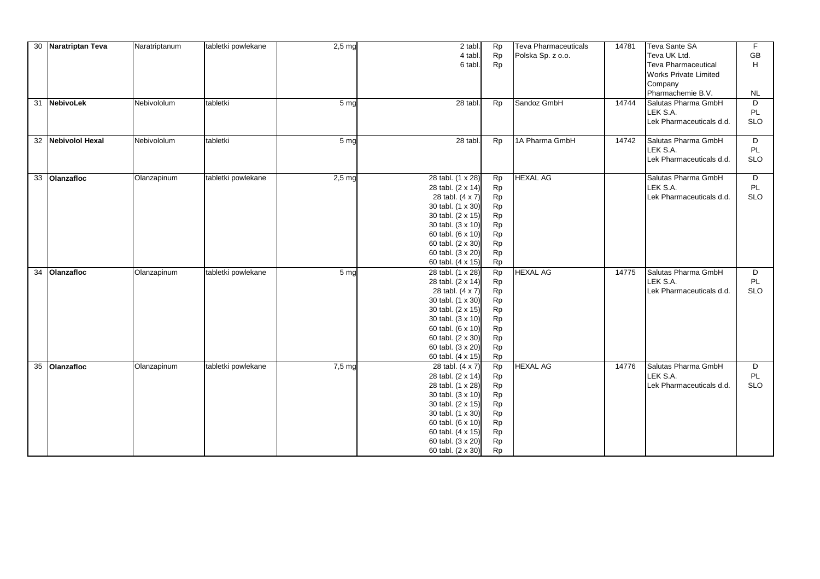|    | 30 Naratriptan Teva | Naratriptanum | tabletki powlekane | $2,5$ mg          | 2 tabl.<br>4 tabl.<br>6 tabl.                                                                                                                                                                                 | Rp<br>Rp<br>Rp                                                                       | <b>Teva Pharmaceuticals</b><br>Polska Sp. z o.o. | 14781 | Teva Sante SA<br>Teva UK Ltd.<br><b>Teva Pharmaceutical</b><br>Works Private Limited<br>Company<br>Pharmachemie B.V. | $\overline{F}$<br>GB<br>H<br><b>NL</b> |
|----|---------------------|---------------|--------------------|-------------------|---------------------------------------------------------------------------------------------------------------------------------------------------------------------------------------------------------------|--------------------------------------------------------------------------------------|--------------------------------------------------|-------|----------------------------------------------------------------------------------------------------------------------|----------------------------------------|
|    | 31 NebivoLek        | Nebivololum   | tabletki           | 5 <sub>mg</sub>   | 28 tabl.                                                                                                                                                                                                      | Rp                                                                                   | Sandoz GmbH                                      | 14744 | Salutas Pharma GmbH<br>LEK S.A.<br>Lek Pharmaceuticals d.d.                                                          | D<br>PL<br><b>SLO</b>                  |
|    | 32 Nebivolol Hexal  | Nebivololum   | tabletki           | 5 <sub>mg</sub>   | 28 tabl.                                                                                                                                                                                                      | Rp                                                                                   | 1A Pharma GmbH                                   | 14742 | Salutas Pharma GmbH<br>LEK S.A.<br>Lek Pharmaceuticals d.d.                                                          | D<br>PL<br><b>SLO</b>                  |
|    | 33 Olanzafloc       | Olanzapinum   | tabletki powlekane | $2,5$ mg          | 28 tabl. (1 x 28)<br>28 tabl. (2 x 14)<br>28 tabl. (4 x 7)<br>30 tabl. (1 x 30)<br>30 tabl. (2 x 15)<br>30 tabl. (3 x 10)<br>60 tabl. (6 x 10)<br>60 tabl. (2 x 30)<br>60 tabl. (3 x 20)<br>60 tabl. (4 x 15) | Rp<br><b>Rp</b><br>Rp<br>Rp<br><b>Rp</b><br>Rp<br><b>Rp</b><br>Rp<br>Rp<br>Rp        | <b>HEXAL AG</b>                                  |       | Salutas Pharma GmbH<br>LEK S.A.<br>Lek Pharmaceuticals d.d.                                                          | D<br>PL<br><b>SLO</b>                  |
| 34 | <b>Olanzafloc</b>   | Olanzapinum   | tabletki powlekane | 5 <sub>mg</sub>   | 28 tabl. (1 x 28)<br>28 tabl. (2 x 14)<br>28 tabl. (4 x 7)<br>30 tabl. (1 x 30)<br>30 tabl. (2 x 15)<br>30 tabl. (3 x 10)<br>60 tabl. (6 x 10)<br>60 tabl. (2 x 30)<br>60 tabl. (3 x 20)<br>60 tabl. (4 x 15) | Rp<br>Rp<br><b>Rp</b><br>Rp<br>Rp<br>Rp<br>Rp<br>Rp<br>Rp<br><b>Rp</b>               | <b>HEXAL AG</b>                                  | 14775 | Salutas Pharma GmbH<br>LEK S.A.<br>Lek Pharmaceuticals d.d.                                                          | D<br>PL<br><b>SLO</b>                  |
|    | 35 Olanzafloc       | Olanzapinum   | tabletki powlekane | 7.5 <sub>mg</sub> | 28 tabl. (4 x 7)<br>28 tabl. (2 x 14)<br>28 tabl. (1 x 28)<br>30 tabl. (3 x 10)<br>30 tabl. (2 x 15)<br>30 tabl. (1 x 30)<br>60 tabl. (6 x 10)<br>60 tabl. (4 x 15)<br>60 tabl. (3 x 20)<br>60 tabl. (2 x 30) | Rp<br>Rp<br>Rp<br>Rp<br><b>Rp</b><br><b>Rp</b><br>Rp<br><b>Rp</b><br>Rp<br><b>Rp</b> | <b>HEXAL AG</b>                                  | 14776 | Salutas Pharma GmbH<br>LEK S.A.<br>Lek Pharmaceuticals d.d.                                                          | D<br>PL<br><b>SLO</b>                  |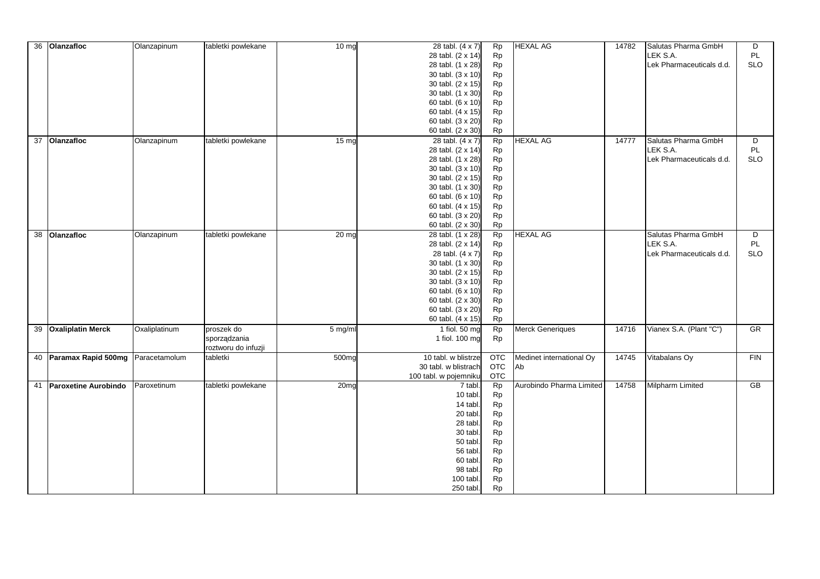| 36 | Olanzafloc              | Olanzapinum   | tabletki powlekane  | 10 mg            | 28 tabl. (4 x 7)      | Rp         | <b>HEXAL AG</b>          | 14782 | Salutas Pharma GmbH      | D          |
|----|-------------------------|---------------|---------------------|------------------|-----------------------|------------|--------------------------|-------|--------------------------|------------|
|    |                         |               |                     |                  | 28 tabl. (2 x 14)     | Rp         |                          |       | LEK S.A.                 | PL         |
|    |                         |               |                     |                  | 28 tabl. (1 x 28)     | Rp         |                          |       | Lek Pharmaceuticals d.d. | <b>SLO</b> |
|    |                         |               |                     |                  | 30 tabl. (3 x 10)     | Rp         |                          |       |                          |            |
|    |                         |               |                     |                  | 30 tabl. (2 x 15)     | Rp         |                          |       |                          |            |
|    |                         |               |                     |                  | 30 tabl. (1 x 30)     | <b>Rp</b>  |                          |       |                          |            |
|    |                         |               |                     |                  | 60 tabl. (6 x 10)     | <b>Rp</b>  |                          |       |                          |            |
|    |                         |               |                     |                  | 60 tabl. (4 x 15)     | <b>Rp</b>  |                          |       |                          |            |
|    |                         |               |                     |                  | 60 tabl. (3 x 20)     | <b>Rp</b>  |                          |       |                          |            |
|    |                         |               |                     |                  | 60 tabl. (2 x 30)     | <b>Rp</b>  |                          |       |                          |            |
|    | 37 Olanzafloc           | Olanzapinum   | tabletki powlekane  | 15 <sub>ma</sub> | 28 tabl. (4 x 7)      | <b>Rp</b>  | <b>HEXAL AG</b>          | 14777 | Salutas Pharma GmbH      | D          |
|    |                         |               |                     |                  | 28 tabl. (2 x 14)     | <b>Rp</b>  |                          |       | LEK S.A.                 | PL         |
|    |                         |               |                     |                  | 28 tabl. (1 x 28)     | <b>Rp</b>  |                          |       | Lek Pharmaceuticals d.d. | <b>SLO</b> |
|    |                         |               |                     |                  | 30 tabl. (3 x 10)     | <b>Rp</b>  |                          |       |                          |            |
|    |                         |               |                     |                  | 30 tabl. (2 x 15)     | Rp         |                          |       |                          |            |
|    |                         |               |                     |                  | 30 tabl. (1 x 30)     | Rp         |                          |       |                          |            |
|    |                         |               |                     |                  | 60 tabl. (6 x 10)     | Rp         |                          |       |                          |            |
|    |                         |               |                     |                  | 60 tabl. (4 x 15)     | Rp         |                          |       |                          |            |
|    |                         |               |                     |                  | 60 tabl. (3 x 20)     | Rp         |                          |       |                          |            |
|    |                         |               |                     |                  | 60 tabl. (2 x 30)     | <b>Rp</b>  |                          |       |                          |            |
|    | 38 Olanzafloc           | Olanzapinum   | tabletki powlekane  | 20 mg            | 28 tabl. (1 x 28)     | Rp         | <b>HEXAL AG</b>          |       | Salutas Pharma GmbH      | D          |
|    |                         |               |                     |                  | 28 tabl. (2 x 14)     | Rp         |                          |       | LEK S.A.                 | PL         |
|    |                         |               |                     |                  | 28 tabl. (4 x 7)      | <b>Rp</b>  |                          |       | Lek Pharmaceuticals d.d. | <b>SLO</b> |
|    |                         |               |                     |                  | 30 tabl. (1 x 30)     | Rp         |                          |       |                          |            |
|    |                         |               |                     |                  | 30 tabl. (2 x 15)     | <b>Rp</b>  |                          |       |                          |            |
|    |                         |               |                     |                  | 30 tabl. (3 x 10)     | Rp         |                          |       |                          |            |
|    |                         |               |                     |                  | 60 tabl. (6 x 10)     | Rp         |                          |       |                          |            |
|    |                         |               |                     |                  | 60 tabl. (2 x 30)     | Rp         |                          |       |                          |            |
|    |                         |               |                     |                  | 60 tabl. (3 x 20)     | <b>Rp</b>  |                          |       |                          |            |
|    |                         |               |                     |                  | 60 tabl. (4 x 15)     | <b>Rp</b>  |                          |       |                          |            |
|    | 39 Oxaliplatin Merck    | Oxaliplatinum | proszek do          | 5 mg/ml          | 1 fiol. 50 mg         | Rp         | <b>Merck Generiques</b>  | 14716 | Vianex S.A. (Plant "C")  | GR         |
|    |                         |               | sporządzania        |                  | 1 fiol. 100 mg        | <b>Rp</b>  |                          |       |                          |            |
|    |                         |               | roztworu do infuzji |                  |                       |            |                          |       |                          |            |
|    | 40 Paramax Rapid 500mg  | Paracetamolum | tabletki            | 500mg            | 10 tabl. w blistrze   | <b>OTC</b> | Medinet international Oy | 14745 | Vitabalans Oy            | FIN        |
|    |                         |               |                     |                  | 30 tabl. w blistrach  | <b>OTC</b> | Ab                       |       |                          |            |
|    |                         |               |                     |                  | 100 tabl. w pojemniku | <b>OTC</b> |                          |       |                          |            |
|    | 41 Paroxetine Aurobindo | Paroxetinum   | tabletki powlekane  | 20 <sub>mg</sub> | 7 tabl.               | Rp         | Aurobindo Pharma Limited | 14758 | <b>Milpharm Limited</b>  | GB         |
|    |                         |               |                     |                  | 10 tabl.              | <b>Rp</b>  |                          |       |                          |            |
|    |                         |               |                     |                  | 14 tabl.              | Rp         |                          |       |                          |            |
|    |                         |               |                     |                  | 20 tabl.              | Rp         |                          |       |                          |            |
|    |                         |               |                     |                  | 28 tabl.              | Rp         |                          |       |                          |            |
|    |                         |               |                     |                  | 30 tabl.              | Rp         |                          |       |                          |            |
|    |                         |               |                     |                  | 50 tabl.              | Rp         |                          |       |                          |            |
|    |                         |               |                     |                  | 56 tabl.              | <b>Rp</b>  |                          |       |                          |            |
|    |                         |               |                     |                  | 60 tabl.              | <b>Rp</b>  |                          |       |                          |            |
|    |                         |               |                     |                  | 98 tabl.              | Rp         |                          |       |                          |            |
|    |                         |               |                     |                  | 100 tabl.             | <b>Rp</b>  |                          |       |                          |            |
|    |                         |               |                     |                  | 250 tabl.             | Rp         |                          |       |                          |            |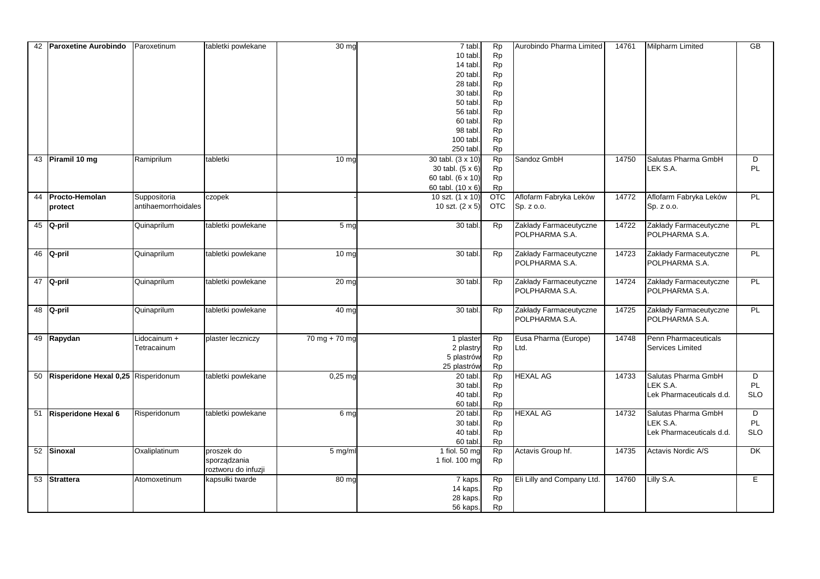| 42 | Paroxetine Aurobindo                   | Paroxetinum         | tabletki powlekane  | 30 mg              | 7 tabl.           | Rp         | Aurobindo Pharma Limited   | 14761 | Milpharm Limited         | $\overline{GB}$ |
|----|----------------------------------------|---------------------|---------------------|--------------------|-------------------|------------|----------------------------|-------|--------------------------|-----------------|
|    |                                        |                     |                     |                    | 10 tabl.          | <b>Rp</b>  |                            |       |                          |                 |
|    |                                        |                     |                     |                    | 14 tabl.          | Rp         |                            |       |                          |                 |
|    |                                        |                     |                     |                    | 20 tabl.          | <b>Rp</b>  |                            |       |                          |                 |
|    |                                        |                     |                     |                    | 28 tabl.          | Rp         |                            |       |                          |                 |
|    |                                        |                     |                     |                    | 30 tabl.          | <b>Rp</b>  |                            |       |                          |                 |
|    |                                        |                     |                     |                    | 50 tabl.          | <b>Rp</b>  |                            |       |                          |                 |
|    |                                        |                     |                     |                    | 56 tabl.          | <b>Rp</b>  |                            |       |                          |                 |
|    |                                        |                     |                     |                    | 60 tabl.          | <b>Rp</b>  |                            |       |                          |                 |
|    |                                        |                     |                     |                    | 98 tabl           | <b>Rp</b>  |                            |       |                          |                 |
|    |                                        |                     |                     |                    | 100 tabl.         | <b>Rp</b>  |                            |       |                          |                 |
|    |                                        |                     |                     |                    | 250 tabl.         | <b>Rp</b>  |                            |       |                          |                 |
|    | 43 Piramil 10 mg                       | Ramiprilum          | tabletki            | 10 <sub>mg</sub>   | 30 tabl. (3 x 10) | <b>Rp</b>  | Sandoz GmbH                | 14750 | Salutas Pharma GmbH      | D               |
|    |                                        |                     |                     |                    | 30 tabl. (5 x 6)  | <b>Rp</b>  |                            |       | LEK S.A.                 | <b>PL</b>       |
|    |                                        |                     |                     |                    | 60 tabl. (6 x 10) | Rp         |                            |       |                          |                 |
|    |                                        |                     |                     |                    | 60 tabl. (10 x 6) | <b>Rp</b>  |                            |       |                          |                 |
| 44 | Procto-Hemolan                         | Suppositoria        | czopek              |                    | 10 szt. (1 x 10)  | <b>OTC</b> | Aflofarm Fabryka Leków     | 14772 | Aflofarm Fabryka Leków   | <b>PL</b>       |
|    | protect                                | antihaemorrhoidales |                     |                    | 10 szt. (2 x 5)   | <b>OTC</b> | Sp. z o.o.                 |       | Sp. z o.o.               |                 |
|    |                                        |                     |                     |                    |                   |            |                            |       |                          |                 |
|    | 45 Q-pril                              | Quinaprilum         | tabletki powlekane  | 5 <sub>mq</sub>    | $30$ tabl.        | <b>Rp</b>  | Zakłady Farmaceutyczne     | 14722 | Zakłady Farmaceutyczne   | <b>PL</b>       |
|    |                                        |                     |                     |                    |                   |            | POLPHARMA S.A.             |       | POLPHARMA S.A.           |                 |
|    |                                        |                     |                     |                    |                   |            |                            |       |                          |                 |
|    | 46 Q-pril                              | Quinaprilum         | tabletki powlekane  | 10 <sub>mg</sub>   | 30 tabl.          | <b>Rp</b>  | Zakłady Farmaceutyczne     | 14723 | Zakłady Farmaceutyczne   | PL              |
|    |                                        |                     |                     |                    |                   |            | POLPHARMA S.A.             |       | POLPHARMA S.A.           |                 |
|    |                                        |                     |                     |                    |                   |            |                            |       |                          |                 |
|    | 47 Q-pril                              | Quinaprilum         | tabletki powlekane  | $20 \text{ mg}$    | 30 tabl           | <b>Rp</b>  | Zakłady Farmaceutyczne     | 14724 | Zakłady Farmaceutyczne   | PL              |
|    |                                        |                     |                     |                    |                   |            | POLPHARMA S.A.             |       | POLPHARMA S.A.           |                 |
|    |                                        |                     |                     |                    |                   |            |                            |       |                          |                 |
|    | 48 Q-pril                              | Quinaprilum         | tabletki powlekane  | $\overline{40}$ mg | 30 tabl.          | <b>Rp</b>  | Zakłady Farmaceutyczne     | 14725 | Zakłady Farmaceutyczne   | PL              |
|    |                                        |                     |                     |                    |                   |            | POLPHARMA S.A.             |       | POLPHARMA S.A.           |                 |
|    |                                        |                     |                     |                    |                   |            |                            |       |                          |                 |
|    | 49 Rapydan                             | Lidocainum +        | plaster leczniczy   | $70$ mg + 70 mg    | 1 plaster         | Rp         | Eusa Pharma (Europe)       | 14748 | Penn Pharmaceuticals     |                 |
|    |                                        | Tetracainum         |                     |                    | 2 plastry         | Rp         | Ltd.                       |       | Services Limited         |                 |
|    |                                        |                     |                     |                    | 5 plastrów        | Rp         |                            |       |                          |                 |
|    |                                        |                     |                     |                    | 25 plastrów       | <b>Rp</b>  |                            |       |                          |                 |
|    | 50 Risperidone Hexal 0,25 Risperidonum |                     | tabletki powlekane  | $0,25$ mg          | 20 tabl.          | <b>Rp</b>  | <b>HEXAL AG</b>            | 14733 | Salutas Pharma GmbH      | D               |
|    |                                        |                     |                     |                    | 30 tabl.          | <b>Rp</b>  |                            |       | LEK S.A.                 | <b>PL</b>       |
|    |                                        |                     |                     |                    | 40 tabl.          | Rp         |                            |       | Lek Pharmaceuticals d.d. | <b>SLO</b>      |
|    |                                        |                     |                     |                    | 60 tabl.          | <b>Rp</b>  |                            |       |                          |                 |
|    | 51 Risperidone Hexal 6                 | Risperidonum        | tabletki powlekane  | 6 mg               | 20 tabl.          | <b>Rp</b>  | <b>HEXAL AG</b>            | 14732 | Salutas Pharma GmbH      | D               |
|    |                                        |                     |                     |                    | 30 tabl.          | Rp         |                            |       | LEK S.A.                 | PL              |
|    |                                        |                     |                     |                    | 40 tabl.          | <b>Rp</b>  |                            |       | Lek Pharmaceuticals d.d. | <b>SLO</b>      |
|    |                                        |                     |                     |                    | 60 tabl.          | <b>Rp</b>  |                            |       |                          |                 |
|    | 52 Sinoxal                             | Oxaliplatinum       | proszek do          | 5 mg/ml            | 1 fiol. 50 mg     | <b>Rp</b>  | Actavis Group hf.          | 14735 | Actavis Nordic A/S       | DK.             |
|    |                                        |                     | sporządzania        |                    | 1 fiol. 100 mg    | <b>Rp</b>  |                            |       |                          |                 |
|    |                                        |                     | roztworu do infuzji |                    |                   |            |                            |       |                          |                 |
|    | 53 Strattera                           | Atomoxetinum        | kapsułki twarde     | 80 mg              | 7 kaps.           | <b>Rp</b>  | Eli Lilly and Company Ltd. | 14760 | Lilly S.A.               | E.              |
|    |                                        |                     |                     |                    | 14 kaps.          | <b>Rp</b>  |                            |       |                          |                 |
|    |                                        |                     |                     |                    | 28 kaps.          | <b>Rp</b>  |                            |       |                          |                 |
|    |                                        |                     |                     |                    |                   |            |                            |       |                          |                 |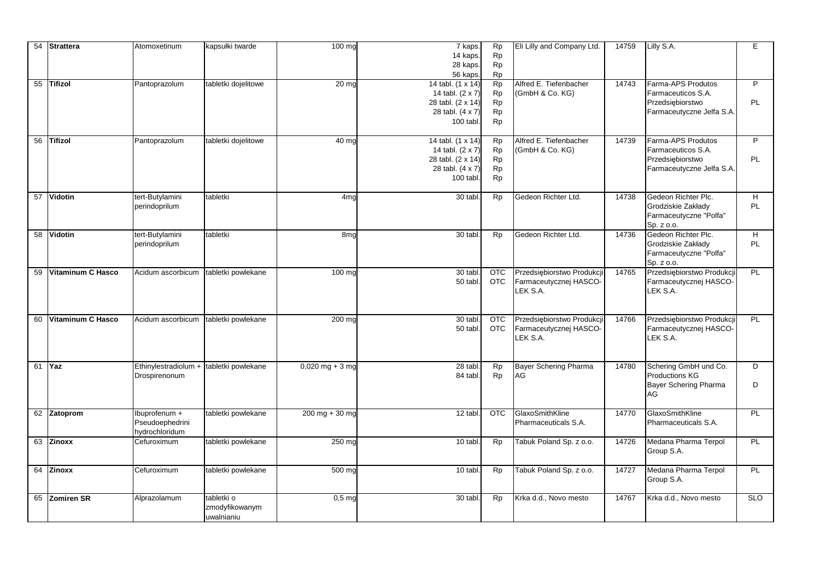| 54 | Strattera                | Atomoxetinum                                       | kapsułki twarde                            | 100 mg             | 7 kaps.<br>14 kaps.<br>28 kaps.<br>56 kaps.                                                 | Rp<br>Rp<br>Rp<br>Rp                            | Eli Lilly and Company Ltd.                                       | 14759 | Lilly S.A.                                                                                | E                   |
|----|--------------------------|----------------------------------------------------|--------------------------------------------|--------------------|---------------------------------------------------------------------------------------------|-------------------------------------------------|------------------------------------------------------------------|-------|-------------------------------------------------------------------------------------------|---------------------|
|    | 55 Tifizol               | Pantoprazolum                                      | tabletki dojelitowe                        | 20 mc              | 14 tabl. (1 x 14)<br>14 tabl. (2 x 7)<br>28 tabl. (2 x 14)<br>28 tabl. (4 x 7)<br>100 tabl. | Rp<br>Rp<br>Rp<br>Rp<br>Rp                      | Alfred E. Tiefenbacher<br>(GmbH & Co. KG)                        | 14743 | Farma-APS Produtos<br>Farmaceuticos S.A.<br>Przedsiębiorstwo<br>Farmaceutyczne Jelfa S.A. | P<br>PL             |
|    | 56 Tifizol               | Pantoprazolum                                      | tabletki dojelitowe                        | $\overline{40}$ mg | 14 tabl. (1 x 14)<br>14 tabl. (2 x 7)<br>28 tabl. (2 x 14)<br>28 tabl. (4 x 7)<br>100 tabl. | <b>Rp</b><br><b>Rp</b><br><b>Rp</b><br>Rp<br>Rp | Alfred E. Tiefenbacher<br>(GmbH & Co. KG)                        | 14739 | Farma-APS Produtos<br>Farmaceuticos S.A.<br>Przedsiębiorstwo<br>Farmaceutyczne Jelfa S.A. | P<br>PL             |
| 57 | Vidotin                  | tert-Butylamini<br>perindoprilum                   | tabletki                                   | 4mg                | 30 tabl.                                                                                    | <b>Rp</b>                                       | Gedeon Richter Ltd.                                              | 14738 | Gedeon Richter Plc.<br>Grodziskie Zakłady<br>Farmaceutyczne "Polfa"<br>Sp. z o.o.         | H<br><b>PL</b>      |
|    | 58 Vidotin               | tert-Butylamini<br>perindoprilum                   | tabletki                                   | 8 <sub>mg</sub>    | 30 tabl.                                                                                    | Rp                                              | Gedeon Richter Ltd.                                              | 14736 | Gedeon Richter Plc.<br>Grodziskie Zakłady<br>Farmaceutyczne "Polfa"<br>Sp. z o.o.         | H<br><b>PL</b>      |
|    | 59 Vitaminum C Hasco     | Acidum ascorbicum                                  | tabletki powlekane                         | 100 mg             | 30 tabl.<br>50 tabl.                                                                        | <b>OTC</b><br><b>OTC</b>                        | Przedsiębiorstwo Produkcji<br>Farmaceutycznej HASCO-<br>LEK S.A. | 14765 | Przedsiębiorstwo Produkcj<br>Farmaceutycznej HASCO-<br>LEK S.A.                           | PL                  |
| 60 | <b>Vitaminum C Hasco</b> | Acidum ascorbicum                                  | tabletki powlekane                         | 200 mg             | 30 tabl.<br>50 tabl.                                                                        | <b>OTC</b><br><b>OTC</b>                        | Przedsiębiorstwo Produkcji<br>Farmaceutycznej HASCO-<br>LEK S.A. | 14766 | Przedsiębiorstwo Produkcj<br>Farmaceutycznej HASCO-<br>LEK S.A.                           | PL                  |
| 61 | <b>Yaz</b>               | Ethinylestradiolum +<br>Drospirenonum              | tabletki powlekane                         | $0,020$ mg + 3 mg  | 28 tabl.<br>84 tabl.                                                                        | Rp<br>Rp                                        | <b>Bayer Schering Pharma</b><br>AG                               | 14780 | Schering GmbH und Co.<br><b>Productions KG</b><br><b>Bayer Schering Pharma</b><br>AG      | $\overline{D}$<br>D |
|    | 62 Zatoprom              | lbuprofenum +<br>Pseudoephedrini<br>hydrochloridum | tabletki powlekane                         | $200$ mg + 30 mg   | 12 tabl.                                                                                    | $\overline{OTC}$                                | GlaxoSmithKline<br>Pharmaceuticals S.A.                          | 14770 | GlaxoSmithKline<br>Pharmaceuticals S.A.                                                   | PL                  |
|    | 63 Zinoxx                | Cefuroximum                                        | tabletki powlekane                         | 250 mg             | 10 tabl.                                                                                    | <b>Rp</b>                                       | Tabuk Poland Sp. z o.o.                                          | 14726 | Medana Pharma Terpol<br>Group S.A.                                                        | PL                  |
|    | 64 Zinoxx                | Cefuroximum                                        | tabletki powlekane                         | $500$ mg           | 10 tabl.                                                                                    | Rp                                              | Tabuk Poland Sp. z o.o.                                          | 14727 | Medana Pharma Terpol<br>Group S.A.                                                        | PL                  |
|    | 65 Zomiren SR            | Alprazolamum                                       | tabletki o<br>zmodyfikowanym<br>uwalnianiu | $0,5$ mg           | 30 tabl.                                                                                    | Rp                                              | Krka d.d., Novo mesto                                            | 14767 | Krka d.d., Novo mesto                                                                     | <b>SLO</b>          |